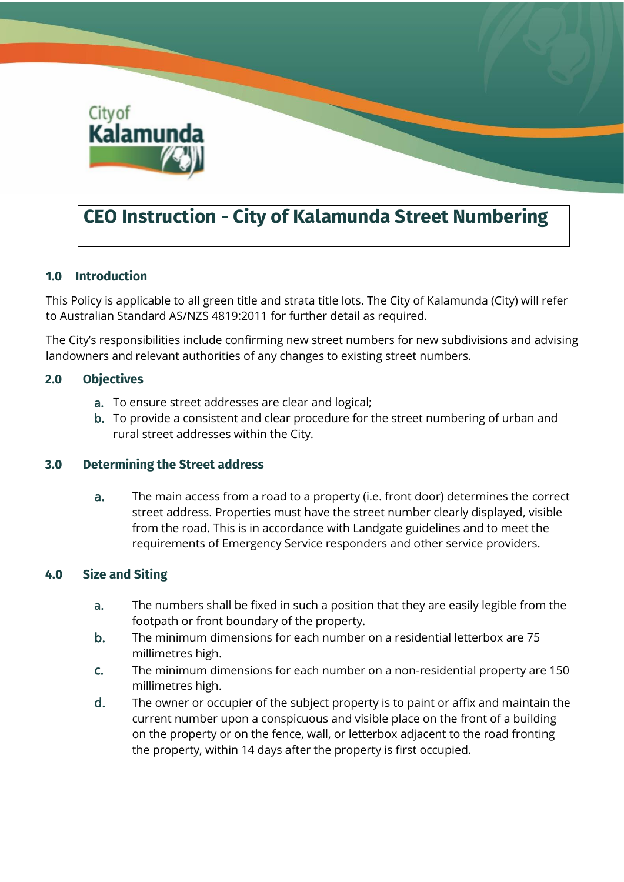

# **CEO Instruction - City of Kalamunda Street Numbering**

## **1.0 Introduction**

This Policy is applicable to all green title and strata title lots. The City of Kalamunda (City) will refer to Australian Standard AS/NZS 4819:2011 for further detail as required.

The City's responsibilities include confirming new street numbers for new subdivisions and advising landowners and relevant authorities of any changes to existing street numbers.

## **2.0 Objectives**

- a. To ensure street addresses are clear and logical;
- b. To provide a consistent and clear procedure for the street numbering of urban and rural street addresses within the City.

## **3.0 Determining the Street address**

a. The main access from a road to a property (i.e. front door) determines the correct street address. Properties must have the street number clearly displayed, visible from the road. This is in accordance with Landgate guidelines and to meet the requirements of Emergency Service responders and other service providers.

## **4.0 Size and Siting**

- a. The numbers shall be fixed in such a position that they are easily legible from the footpath or front boundary of the property.
- b. The minimum dimensions for each number on a residential letterbox are 75 millimetres high.
- c. The minimum dimensions for each number on a non-residential property are 150 millimetres high.
- d. The owner or occupier of the subject property is to paint or affix and maintain the current number upon a conspicuous and visible place on the front of a building on the property or on the fence, wall, or letterbox adjacent to the road fronting the property, within 14 days after the property is first occupied.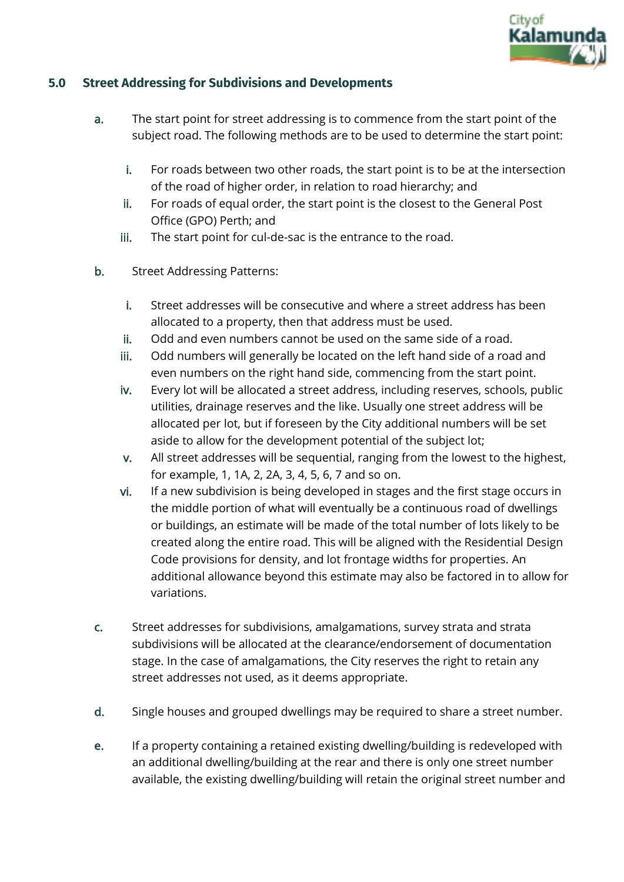

## **5.0 Street Addressing for Subdivisions and Developments**

- a. The start point for street addressing is to commence from the start point of the subject road. The following methods are to be used to determine the start point:
	- i. For roads between two other roads, the start point is to be at the intersection of the road of higher order, in relation to road hierarchy; and
	- ii. For roads of equal order, the start point is the closest to the General Post Office (GPO) Perth; and
	- iii. The start point for cul-de-sac is the entrance to the road.
- b. Street Addressing Patterns:
	- i. Street addresses will be consecutive and where a street address has been allocated to a property, then that address must be used.
	- ii. Odd and even numbers cannot be used on the same side of a road.
	- iii. Odd numbers will generally be located on the left hand side of a road and even numbers on the right hand side, commencing from the start point.
	- iv. Every lot will be allocated a street address, including reserves, schools, public utilities, drainage reserves and the like. Usually one street address will be allocated per lot, but if foreseen by the City additional numbers will be set aside to allow for the development potential of the subject lot;
	- v. All street addresses will be sequential, ranging from the lowest to the highest, for example, 1, 1A, 2, 2A, 3, 4, 5, 6, 7 and so on.
	- vi. If a new subdivision is being developed in stages and the first stage occurs in the middle portion of what will eventually be a continuous road of dwellings or buildings, an estimate will be made of the total number of lots likely to be created along the entire road. This will be aligned with the Residential Design Code provisions for density, and lot frontage widths for properties. An additional allowance beyond this estimate may also be factored in to allow for variations.
- c. Street addresses for subdivisions, amalgamations, survey strata and strata subdivisions will be allocated at the clearance/endorsement of documentation stage. In the case of amalgamations, the City reserves the right to retain any street addresses not used, as it deems appropriate.
- d. Single houses and grouped dwellings may be required to share a street number.
- e. If a property containing a retained existing dwelling/building is redeveloped with an additional dwelling/building at the rear and there is only one street number available, the existing dwelling/building will retain the original street number and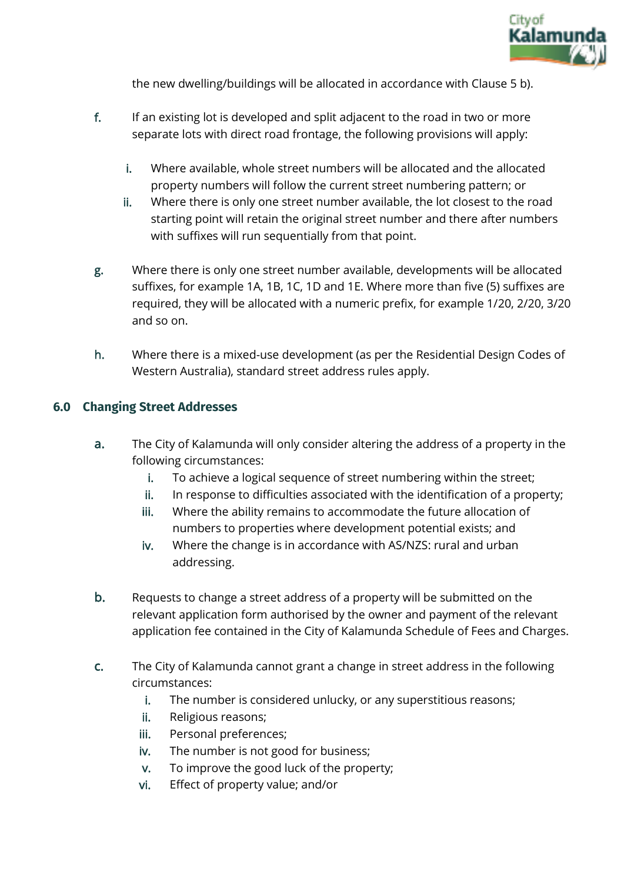

the new dwelling/buildings will be allocated in accordance with Clause 5 b).

- f. If an existing lot is developed and split adjacent to the road in two or more separate lots with direct road frontage, the following provisions will apply:
	- i. Where available, whole street numbers will be allocated and the allocated property numbers will follow the current street numbering pattern; or
	- ii. Where there is only one street number available, the lot closest to the road starting point will retain the original street number and there after numbers with suffixes will run sequentially from that point.
- g. Where there is only one street number available, developments will be allocated suffixes, for example 1A, 1B, 1C, 1D and 1E. Where more than five (5) suffixes are required, they will be allocated with a numeric prefix, for example 1/20, 2/20, 3/20 and so on.
- h. Where there is a mixed-use development (as per the Residential Design Codes of Western Australia), standard street address rules apply.

## **6.0 Changing Street Addresses**

- a. The City of Kalamunda will only consider altering the address of a property in the following circumstances:
	- i. To achieve a logical sequence of street numbering within the street;
	- ii. In response to difficulties associated with the identification of a property;
	- iii. Where the ability remains to accommodate the future allocation of numbers to properties where development potential exists; and
	- iv. Where the change is in accordance with AS/NZS: rural and urban addressing.
- b. Requests to change a street address of a property will be submitted on the relevant application form authorised by the owner and payment of the relevant application fee contained in the City of Kalamunda Schedule of Fees and Charges.
- c. The City of Kalamunda cannot grant a change in street address in the following circumstances:
	- i. The number is considered unlucky, or any superstitious reasons;
	- ii. Religious reasons;
	- iii. Personal preferences;
	- iv. The number is not good for business;
	- v. To improve the good luck of the property;
	- vi. Effect of property value; and/or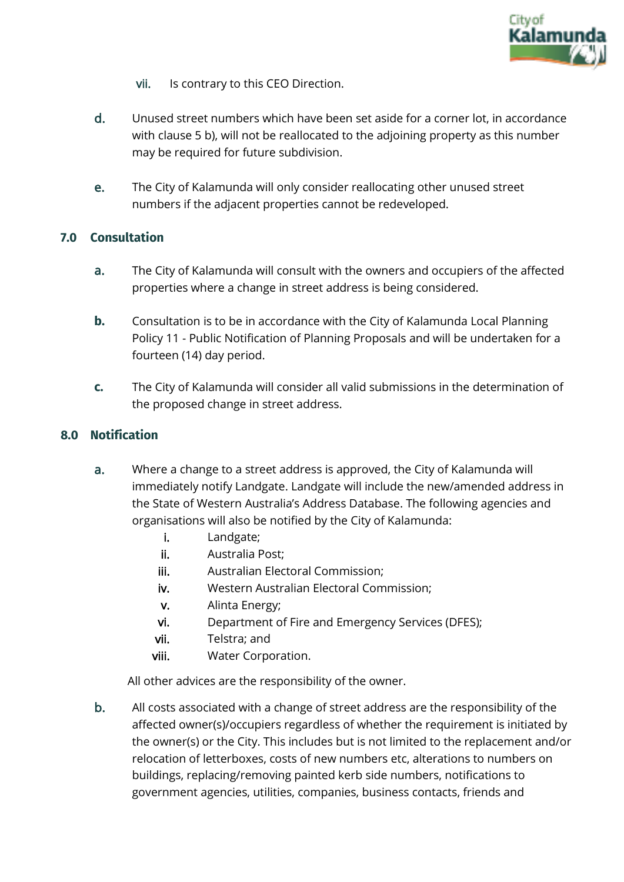

- vii. Is contrary to this CEO Direction.
- d. Unused street numbers which have been set aside for a corner lot, in accordance with clause 5 b), will not be reallocated to the adjoining property as this number may be required for future subdivision.
- e. The City of Kalamunda will only consider reallocating other unused street numbers if the adjacent properties cannot be redeveloped.

## **7.0 Consultation**

- a. The City of Kalamunda will consult with the owners and occupiers of the affected properties where a change in street address is being considered.
- **b.** Consultation is to be in accordance with the City of Kalamunda Local Planning Policy 11 - Public Notification of Planning Proposals and will be undertaken for a fourteen (14) day period.
- **c.** The City of Kalamunda will consider all valid submissions in the determination of the proposed change in street address.

# **8.0 Notification**

- a. Where a change to a street address is approved, the City of Kalamunda will immediately notify Landgate. Landgate will include the new/amended address in the State of Western Australia's Address Database. The following agencies and organisations will also be notified by the City of Kalamunda:
	- i. Landgate;
	- ii. Australia Post;
	- iii. Australian Electoral Commission;
	- iv. Western Australian Electoral Commission;
	- v. Alinta Energy;
	- vi. Department of Fire and Emergency Services (DFES);
	- vii. Telstra; and
	- viii. Water Corporation.

All other advices are the responsibility of the owner.

b. All costs associated with a change of street address are the responsibility of the affected owner(s)/occupiers regardless of whether the requirement is initiated by the owner(s) or the City. This includes but is not limited to the replacement and/or relocation of letterboxes, costs of new numbers etc, alterations to numbers on buildings, replacing/removing painted kerb side numbers, notifications to government agencies, utilities, companies, business contacts, friends and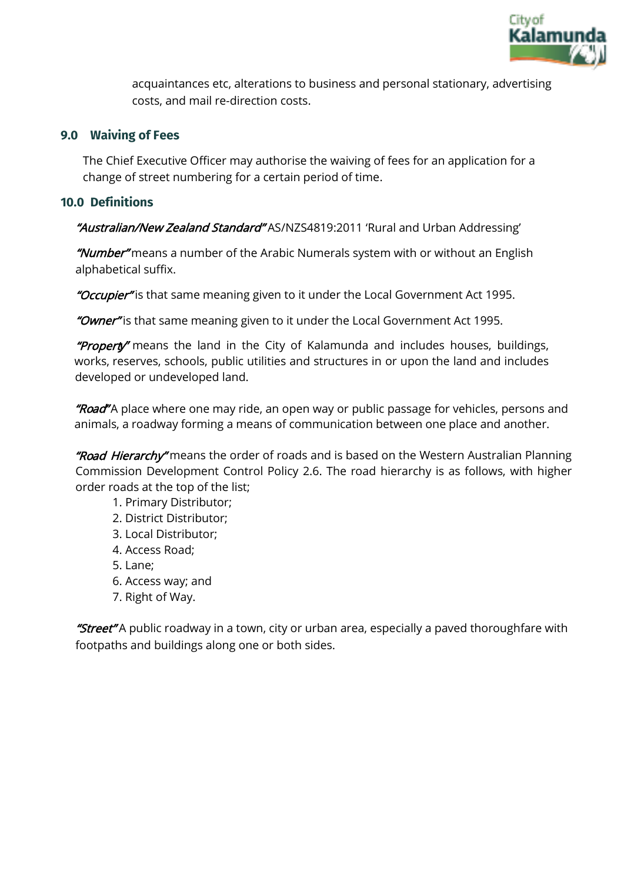

acquaintances etc, alterations to business and personal stationary, advertising costs, and mail re-direction costs.

## **9.0 Waiving of Fees**

The Chief Executive Officer may authorise the waiving of fees for an application for a change of street numbering for a certain period of time.

#### **10.0 Definitions**

"Australian/New Zealand Standard" AS/NZS4819:2011 'Rural and Urban Addressing'

"Number" means a number of the Arabic Numerals system with or without an English alphabetical suffix.

"Occupier" is that same meaning given to it under the Local Government Act 1995.

"Owner" is that same meaning given to it under the Local Government Act 1995.

**"Property"** means the land in the City of Kalamunda and includes houses, buildings, works, reserves, schools, public utilities and structures in or upon the land and includes developed or undeveloped land.

"Road" A place where one may ride, an open way or public passage for vehicles, persons and animals, a roadway forming a means of communication between one place and another.

"Road Hierarchy" means the order of roads and is based on the Western Australian Planning Commission Development Control Policy 2.6. The road hierarchy is as follows, with higher order roads at the top of the list;

- 1. Primary Distributor;
- 2. District Distributor;
- 3. Local Distributor;
- 4. Access Road;
- 5. Lane;
- 6. Access way; and
- 7. Right of Way.

"Street" A public roadway in a town, city or urban area, especially a paved thoroughfare with footpaths and buildings along one or both sides.